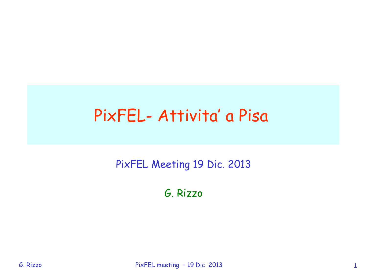## PixFEL- Attivita' a Pisa

PixFEL Meeting 19 Dic. 2013

G. Rizzo

G. Rizzo PixFEL meeting - 19 Dic 2013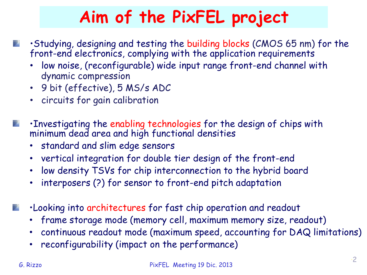# **Aim of the PixFEL project**

- •Studying, designing and testing the building blocks (CMOS 65 nm) for the front-end electronics, complying with the application requirements
	- low noise, (reconfigurable) wide input range front-end channel with dynamic compression
	- 9 bit (effective), 5 MS/s ADC
	- circuits for gain calibration
- •Investigating the enabling technologies for the design of chips with minimum dead area and high functional densities
	- standard and slim edge sensors
	- vertical integration for double tier design of the front-end
	- low density TSVs for chip interconnection to the hybrid board
	- interposers (?) for sensor to front-end pitch adaptation
- •Looking into architectures for fast chip operation and readout
	- frame storage mode (memory cell, maximum memory size, readout)
	- continuous readout mode (maximum speed, accounting for DAQ limitations)
	- reconfigurability (impact on the performance)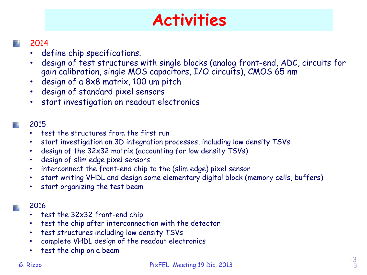## **Activities**

### 2014

- define chip specifications.
- design of test structures with single blocks (analog front-end, ADC, circuits for gain calibration, single MOS capacitors, I/O circuits), CMOS 65 nm
- design of a 8x8 matrix, 100 um pitch
- design of standard pixel sensors
- start investigation on readout electronics

### 2015

- test the structures from the first run
- start investigation on 3D integration processes, including low density TSVs
- design of the 32x32 matrix (accounting for low density TSVs)
- design of slim edge pixel sensors
- interconnect the front-end chip to the (slim edge) pixel sensor
- start writing VHDL and design some elementary digital block (memory cells, buffers)
- start organizing the test beam

### 2016

- test the 32x32 front-end chip
- test the chip after interconnection with the detector
- test structures including low density TSVs
- complete VHDL design of the readout electronics
- test the chip on a beam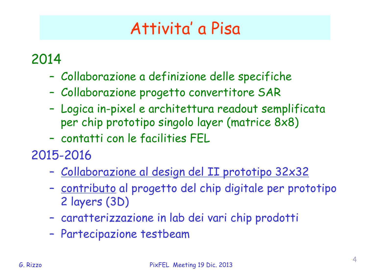## Attivita' a Pisa

### 2014

- Collaborazione a definizione delle specifiche
- Collaborazione progetto convertitore SAR
- Logica in-pixel e architettura readout semplificata per chip prototipo singolo layer (matrice 8x8)
- contatti con le facilities FEL

2015-2016

- Collaborazione al design del II prototipo 32x32
- contributo al progetto del chip digitale per prototipo 2 layers (3D)
- caratterizzazione in lab dei vari chip prodotti
- Partecipazione testbeam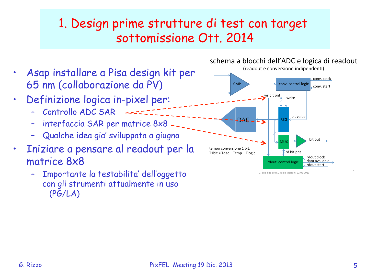### 1. Design prime strutture di test con target sottomissione Ott. 2014

- Asap installare a Pisa design kit per 65 nm (collaborazione da PV)
- Definizione logica in-pixel per:
	- Controllo ADC SAR
	- interfaccia SAR per matrice 8x8
	- Qualche idea gia' sviluppata a giugno
- Iniziare a pensare al readout per la matrice 8x8
	- Importante la testabilita' dell'oggetto con gli strumenti attualmente in uso (PG/LA)



... due diap pixFEL, Fabio Morsani, 22-05-2013

schema a blocchi dell'ADC e logica di readout

;'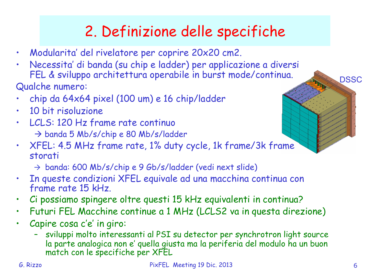## 2. Definizione delle specifiche

- Modularita' del rivelatore per coprire 20x20 cm2.
- Necessita' di banda (su chip e ladder) per applicazione a diversi FEL & sviluppo architettura operabile in burst mode/continua.

Qualche numero:

- chip da 64x64 pixel (100 um) e 16 chip/ladder
- 10 bit risoluzione
- LCLS: 120 Hz frame rate continuo  $\rightarrow$  banda 5 Mb/s/chip e 80 Mb/s/ladder
- XFEL: 4.5 MHz frame rate, 1% duty cycle, 1k frame/3k frame storati

! banda: 600 Mb/s/chip e 9 Gb/s/ladder (vedi next slide)

- In queste condizioni XFEL equivale ad una macchina continua con frame rate 15 kHz.
- Ci possiamo spingere oltre questi 15 kHz equivalenti in continua?
- Futuri FEL Macchine continue a 1 MHz (LCLS2 va in questa direzione)
- Capire cosa c'e' in giro:
	- sviluppi molto interessanti al PSI su detector per synchrotron light source la parte analogica non e' quella giusta ma la periferia del modulo ha un buon match con le specifiche per XFEL

**DSSC**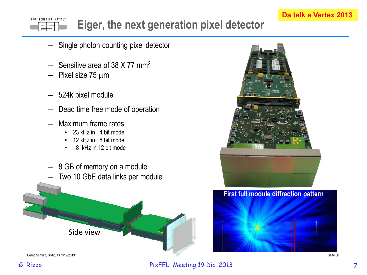### **Da talk a Vertex 2013**

#### PAUL SCHERRER INSTITUT **Eiger, the next generation pixel detector**

- Single photon counting pixel detector
- Sensitive area of 38 X 77 mm<sup>2</sup>
- Pixel size  $75 \mu m$
- 524k pixel module
- Dead time free mode of operation
- Maximum frame rates
	- 23 kHz in 4 bit mode
	- 12 kHz in 8 bit mode
	- 8 kHz in 12 bit mode
- **First full module diffraction pattern** Side view – 8 GB of memory on a module – Two 10 GbE data links per module **+,-.&/#01-)&(/,2)**

Bernd Schmitt, SRI2013 9/19/2013 Seite 30 Seite 30 Seite 30 Seite 30 Seite 30 Seite 30 Seite 30 Seite 30 Seite 30 Seite 30 Seite 30 Seite 30 Seite 30 Seite 30 Seite 30 Seite 30 Seite 30 Seite 30 Seite 30 Seite 30 Seite 30

#### G. Rizzo 7 PixFEL Meeting 19 Dic. 2013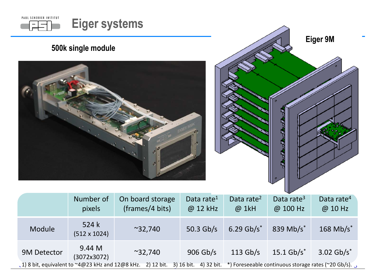

 $\zeta$  ) 8 bit, equivalent to ~4@23 kHz and 12@8 kHz. 2) 12 bit. 3) 16 bit. 4) 32 bit. \*) Foreseeable continuous storage rates (~20 Gb/s).  $\zeta$